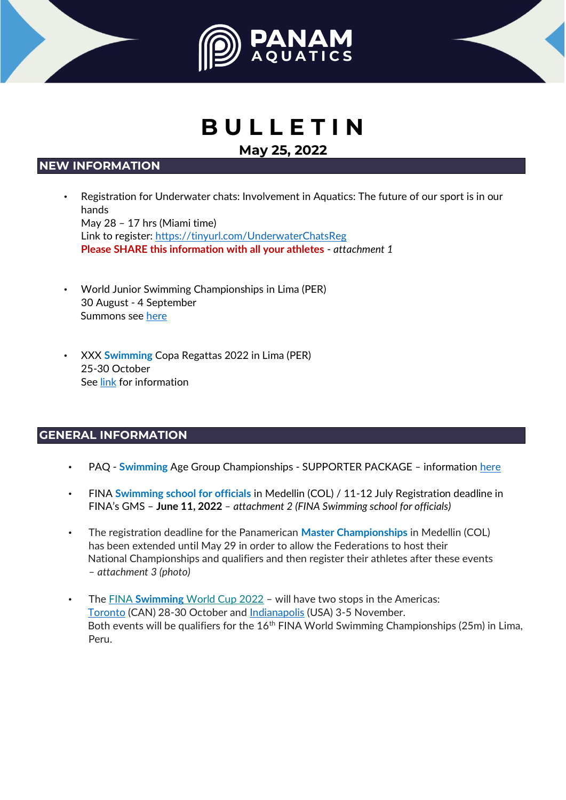



# **B U L L E T I N**

## **May 25, 2022**

### **NEW INFORMATION**

- Registration for Underwater chats: Involvement in Aquatics: The future of our sport is in our hands May 28 – 17 hrs (Miami time) Link to register[:](https://tinyurl.com/UnderwaterChatsReg) <https://tinyurl.com/UnderwaterChatsReg> **Please SHARE this information with all your athletes** - *attachment 1*
- World Junior Swimming Championships in Lima (PER) 30 August - 4 September Summons see [here](https://drive.google.com/file/d/1Ai95ASXLwQfh2-2eok7nzo40jl6jgxwo/view?usp=sharing)
- XXX **Swimming** Copa Regattas 2022 in Lima (PER) 25-30 October See [link](https://drive.google.com/drive/folders/15ZF_RWIF5-UeV9xQTNrKwlJ4RVofo7yN?usp=sharing) [f](https://drive.google.com/drive/folders/15ZF_RWIF5-UeV9xQTNrKwlJ4RVofo7yN?usp=sharing)or information

### **GENERAL INFORMATION**

- PAQ **Swimming** Age Group Championships SUPPORTER PACKAGE *–* information [here](https://www.panamaquaticsevent.com/static/media/supporters.75a9c54b628010ef5714.pdf)
- FINA **Swimming school for officials** in Medellin (COL) / 11-12 July Registration deadline in FINA's GMS – **June 11, 2022** *– attachment 2 (FINA Swimming school for officials)*
- The registration deadline for the Panamerican **Master Championships** in Medellin (COL) has been extended until May 29 in order to allow the Federations to host their National Championships and qualifiers and then register their athletes after these events – *attachment 3 (photo)*
- The [FINA](https://fina.us20.list-manage.com/track/click?u=1fa77b3ebc69b068e1cb774f3&id=60a99b366e&e=a4de39a574) **[Swimming](https://fina.us20.list-manage.com/track/click?u=1fa77b3ebc69b068e1cb774f3&id=60a99b366e&e=a4de39a574)** [World Cup](https://fina.us20.list-manage.com/track/click?u=1fa77b3ebc69b068e1cb774f3&id=60a99b366e&e=a4de39a574) [2022](https://fina.us20.list-manage.com/track/click?u=1fa77b3ebc69b068e1cb774f3&id=60a99b366e&e=a4de39a574) [–](https://fina.us20.list-manage.com/track/click?u=1fa77b3ebc69b068e1cb774f3&id=60a99b366e&e=a4de39a574) will have two stops in the Americas: [Toronto](https://fina.us20.list-manage.com/track/click?u=1fa77b3ebc69b068e1cb774f3&id=aaf3f013c8&e=a4de39a574) [\(](https://fina.us20.list-manage.com/track/click?u=1fa77b3ebc69b068e1cb774f3&id=aaf3f013c8&e=a4de39a574)CAN) 28-30 October and [Indianapolis](https://fina.us20.list-manage.com/track/click?u=1fa77b3ebc69b068e1cb774f3&id=42effe9ddf&e=a4de39a574) (USA) 3-5 November. Both events will be qualifiers for the  $16<sup>th</sup>$  FINA World Swimming Championships (25m) in Lima, Peru.